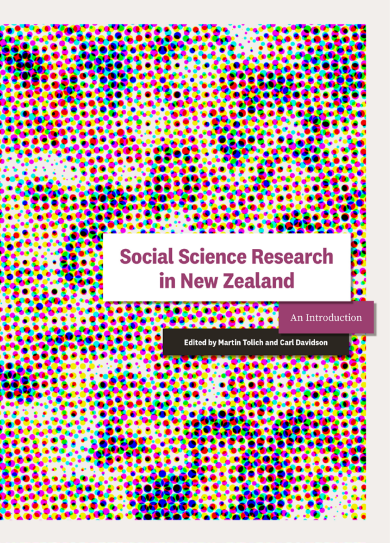# **Social Science Research** in New Zealand

**Edited by Martin Tolich and Carl Davidson** 

An Introduction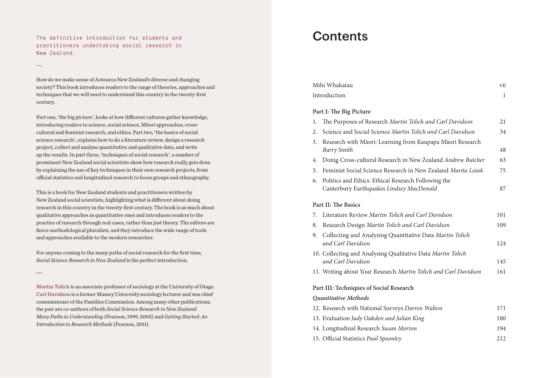**The definitive introduction for students and practitioners undertaking social research in New Zealand.**

How do we make sense of Aotearoa New Zealand's diverse and changing society? This book introduces readers to the range of theories, approaches and techniques that we will need to understand this country in the twenty-first century.

Part one, 'the big picture', looks at how different cultures gather knowledge, introducing readers to science, social science, Māori approaches, crosscultural and feminist research, and ethics. Part two, 'the basics of social science research', explains how to do a literature review, design a research project, collect and analyse quantitative and qualitative data, and write up the results. In part three, 'techniques of social research', a number of prominent New Zealand social scientists show how research really gets done by explaining the use of key techniques in their own research projects, from official statistics and longitudinal research to focus groups and ethnography.

This is a book for New Zealand students and practitioners written by New Zealand social scientists, highlighting what is different about doing research in this country in the twenty-first century. The book is as much about qualitative approaches as quantitative ones and introduces readers to the practice of research through real cases, rather than just theory. The editors are fierce methodological pluralists, and they introduce the wide range of tools and approaches available to the modern researcher.

For anyone coming to the many paths of social research for the first time, *Social Science Research in New Zealand* is the perfect introduction.

Martin Tolich is an associate professor of sociology at the University of Otago. Carl Davidson is a former Massey University sociology lecturer and was chief commissioner of the Families Commission. Among many other publications, the pair are co-authors of both *Social Science Research in New Zealand: Many Paths to Understanding* (Pearson, 1999, 2003) and *Getting Started: An Introduction to Research Methods* (Pearson, 2011).

## **Contents**

| Mihi Whakatau                           |                                                                                                 | vii |  |
|-----------------------------------------|-------------------------------------------------------------------------------------------------|-----|--|
| Introduction                            |                                                                                                 | 1   |  |
| Part I: The Big Picture                 |                                                                                                 |     |  |
| 1.                                      | The Purposes of Research Martin Tolich and Carl Davidson                                        | 21  |  |
| 2.                                      | Science and Social Science Martin Tolich and Carl Davidson                                      | 34  |  |
| 3.                                      | Research with Māori: Learning from Kaupapa Māori Research<br>Barry Smith                        | 48  |  |
| 4.                                      | Doing Cross-cultural Research in New Zealand Andrew Butcher                                     | 63  |  |
| 5.                                      | Feminist Social Science Research in New Zealand Marita Leask                                    | 75  |  |
| 6.                                      | Politics and Ethics: Ethical Research Following the<br>Canterbury Earthquakes Lindsey MacDonald | 87  |  |
| <b>Part II: The Basics</b>              |                                                                                                 |     |  |
| 7.                                      | Literature Review Martin Tolich and Carl Davidson                                               | 101 |  |
| 8.                                      | Research Design Martin Tolich and Carl Davidson                                                 | 109 |  |
| 9.                                      | Collecting and Analysing Quantitative Data Martin Tolich<br>and Carl Davidson                   | 124 |  |
|                                         | 10. Collecting and Analysing Qualitative Data Martin Tolich<br>and Carl Davidson                | 145 |  |
|                                         | 11. Writing about Your Research Martin Tolich and Carl Davidson                                 | 161 |  |
| Part III: Techniques of Social Research |                                                                                                 |     |  |
| Quantitative Methods                    |                                                                                                 |     |  |
|                                         | 12. Research with National Surveys Darren Walton                                                | 171 |  |
|                                         | 13. Evaluation Judy Oakden and Julian King                                                      | 180 |  |
|                                         | 14. Longitudinal Research Susan Morton                                                          | 194 |  |
|                                         | 15. Official Statistics Paul Spoonley                                                           | 212 |  |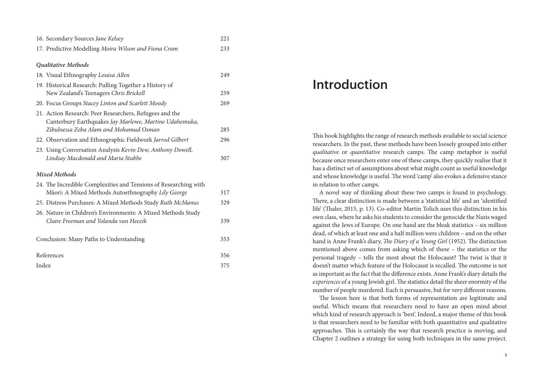| 16. Secondary Sources Jane Kelsey                                                                                 | 221 |  |
|-------------------------------------------------------------------------------------------------------------------|-----|--|
| 17. Predictive Modelling Moira Wilson and Fiona Cram                                                              | 233 |  |
| <b>Qualitative Methods</b>                                                                                        |     |  |
| 18. Visual Ethnography Louisa Allen                                                                               | 249 |  |
| 19. Historical Research: Pulling Together a History of                                                            |     |  |
| New Zealand's Teenagers Chris Brickell                                                                            | 259 |  |
| 20. Focus Groups Stacey Linton and Scarlett Moody                                                                 | 269 |  |
| 21. Action Research: Peer Researchers, Refugees and the<br>Canterbury Earthquakes Jay Marlowe, Martine Udahemuka, |     |  |
| Zibulnessa Zeba Alam and Mohamud Osman                                                                            | 285 |  |
| 22. Observation and Ethnographic Fieldwork Jarrod Gilbert                                                         | 296 |  |
| 23. Using Conversation Analysis Kevin Dew, Anthony Dowell,                                                        |     |  |
| Lindsay Macdonald and Maria Stubbe                                                                                | 307 |  |
| <b>Mixed Methods</b>                                                                                              |     |  |
| 24. The Incredible Complexities and Tensions of Researching with                                                  |     |  |
| Māori: A Mixed Methods Autoethnography Lily George                                                                | 317 |  |
| 25. Distress Purchases: A Mixed Methods Study Ruth McManus                                                        | 329 |  |
| 26. Nature in Children's Environments: A Mixed Methods Study                                                      |     |  |
| Claire Freeman and Yolanda van Heezik                                                                             | 339 |  |
| Conclusion: Many Paths to Understanding                                                                           |     |  |
|                                                                                                                   | 353 |  |
| References                                                                                                        |     |  |
| Index                                                                                                             |     |  |

### Introduction

This book highlights the range of research methods available to social science researchers. In the past, these methods have been loosely grouped into either *qualitative* or *quantitative* research camps. The camp metaphor is useful because once researchers enter one of these camps, they quickly realise that it has a distinct set of assumptions about what might count as useful knowledge and whose knowledge is useful. The word 'camp' also evokes a defensive stance in relation to other camps.

A novel way of thinking about these two camps is found in psychology. There, a clear distinction is made between a 'statistical life' and an 'identified life' (Thaler, 2015, p. 13). Co-editor Martin Tolich uses this distinction in his own class, where he asks his students to consider the genocide the Nazis waged against the Jews of Europe. On one hand are the bleak statistics – six million dead, of which at least one and a half million were children – and on the other hand is Anne Frank's diary, *The Diary of a Young Girl* (1952). The distinction mentioned above comes from asking which of these – the statistics or the personal tragedy – tells the most about the Holocaust? The twist is that it doesn't matter which feature of the Holocaust is recalled. The outcome is not as important as the fact that the difference exists. Anne Frank's diary details the *experiences* of a young Jewish girl. The statistics detail the sheer enormity of the number of people murdered. Each is persuasive, but for very different reasons.

The lesson here is that both forms of representation are legitimate and useful. Which means that researchers need to have an open mind about which kind of research approach is 'best'. Indeed, a major theme of this book is that researchers need to be familiar with both quantitative and qualitative approaches. This is certainly the way that research practice is moving, and Chapter 2 outlines a strategy for using both techniques in the same project.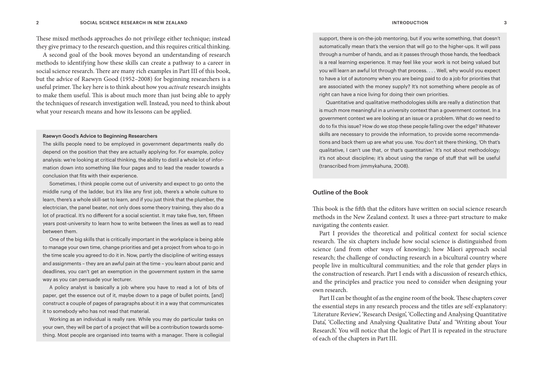These mixed methods approaches do not privilege either technique; instead they give primacy to the research question, and this requires critical thinking.

A second goal of the book moves beyond an understanding of research methods to identifying how these skills can create a pathway to a career in social science research. There are many rich examples in Part III of this book, but the advice of Raewyn Good (1952–2008) for beginning researchers is a useful primer. The key here is to think about how you *activate* research insights to make them useful. This is about much more than just being able to apply the techniques of research investigation well. Instead, you need to think about what your research means and how its lessons can be applied.

#### Raewyn Good's Advice to Beginning Researchers

The skills people need to be employed in government departments really do depend on the position that they are actually applying for. For example, policy analysis: we're looking at critical thinking, the ability to distil a whole lot of information down into something like four pages and to lead the reader towards a conclusion that fits with their experience.

Sometimes, I think people come out of university and expect to go onto the middle rung of the ladder, but it's like any first job, there's a whole culture to learn, there's a whole skill-set to learn, and if you just think that the plumber, the electrician, the panel beater, not only does some theory training, they also do a lot of practical. It's no different for a social scientist. It may take five, ten, fifteen years post-university to learn how to write between the lines as well as to read between them.

One of the big skills that is critically important in the workplace is being able to manage your own time, change priorities and get a project from whoa to go in the time scale you agreed to do it in. Now, partly the discipline of writing essays and assignments – they are an awful pain at the time – you learn about panic and deadlines, you can't get an exemption in the government system in the same way as you can persuade your lecturer.

A policy analyst is basically a job where you have to read a lot of bits of paper, get the essence out of it, maybe down to a page of bullet points, [and] construct a couple of pages of paragraphs about it in a way that communicates it to somebody who has not read that material.

Working as an individual is really rare. While you may do particular tasks on your own, they will be part of a project that will be a contribution towards something. Most people are organised into teams with a manager. There is collegial support, there is on-the-job mentoring, but if you write something, that doesn't automatically mean that's the version that will go to the higher-ups. It will pass through a number of hands, and as it passes through those hands, the feedback is a real learning experience. It may feel like your work is not being valued but you will learn an awful lot through that process. . . . Well, why would you expect to have a lot of autonomy when you are being paid to do a job for priorities that are associated with the money supply? It's not something where people as of right can have a nice living for doing their own priorities.

Quantitative and qualitative methodologies skills are really a distinction that is much more meaningful in a university context than a government context. In a government context we are looking at an issue or a problem. What do we need to do to fix this issue? How do we stop these people falling over the edge? Whatever skills are necessary to provide the information, to provide some recommendations and back them up are what you use. You don't sit there thinking, 'Oh that's qualitative, I can't use that, or that's quantitative.' It's not about methodology; it's not about discipline; it's about using the range of stuff that will be useful (transcribed from jimmykahuna, 2008).

#### Outline of the Book

This book is the fifth that the editors have written on social science research methods in the New Zealand context. It uses a three-part structure to make navigating the contents easier.

Part I provides the theoretical and political context for social science research. The six chapters include how social science is distinguished from science (and from other ways of knowing); how Māori approach social research; the challenge of conducting research in a bicultural country where people live in multicultural communities; and the role that gender plays in the construction of research. Part I ends with a discussion of research ethics, and the principles and practice you need to consider when designing your own research.

Part II can be thought of as the engine room of the book. These chapters cover the essential steps in any research process and the titles are self-explanatory: 'Literature Review', 'Research Design', 'Collecting and Analysing Quantitative Data', 'Collecting and Analysing Qualitative Data' and 'Writing about Your Research'. You will notice that the logic of Part II is repeated in the structure of each of the chapters in Part III.